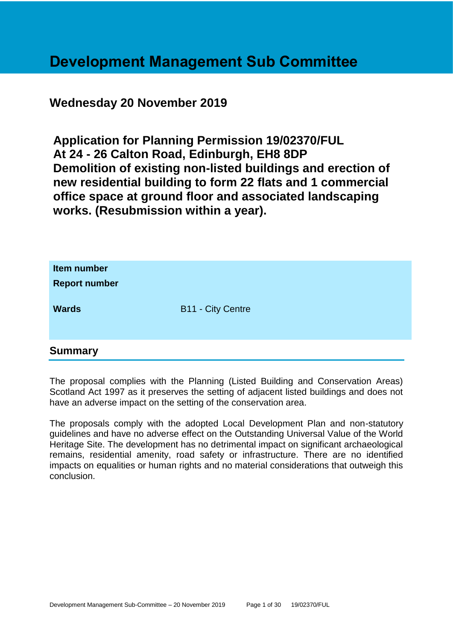# **Development Management Sub Committee**

# **Wednesday 20 November 2019**

**Application for Planning Permission 19/02370/FUL At 24 - 26 Calton Road, Edinburgh, EH8 8DP Demolition of existing non-listed buildings and erection of new residential building to form 22 flats and 1 commercial office space at ground floor and associated landscaping works. (Resubmission within a year).**

| Item number<br><b>Report number</b> |                          |
|-------------------------------------|--------------------------|
| <b>Wards</b>                        | <b>B11 - City Centre</b> |

# **Summary**

The proposal complies with the Planning (Listed Building and Conservation Areas) Scotland Act 1997 as it preserves the setting of adjacent listed buildings and does not have an adverse impact on the setting of the conservation area.

The proposals comply with the adopted Local Development Plan and non-statutory guidelines and have no adverse effect on the Outstanding Universal Value of the World Heritage Site. The development has no detrimental impact on significant archaeological remains, residential amenity, road safety or infrastructure. There are no identified impacts on equalities or human rights and no material considerations that outweigh this conclusion.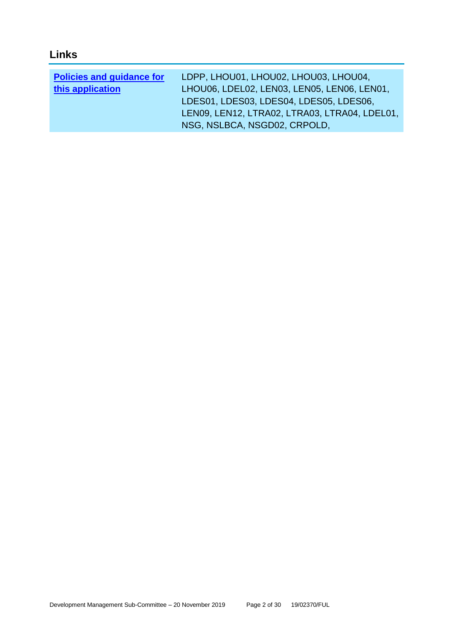# **Links**

| <b>Policies and guidance for</b> | LDPP, LHOU01, LHOU02, LHOU03, LHOU04,         |
|----------------------------------|-----------------------------------------------|
| this application                 | LHOU06, LDEL02, LEN03, LEN05, LEN06, LEN01,   |
|                                  | LDES01, LDES03, LDES04, LDES05, LDES06,       |
|                                  | LEN09, LEN12, LTRA02, LTRA03, LTRA04, LDEL01, |
|                                  | NSG, NSLBCA, NSGD02, CRPOLD,                  |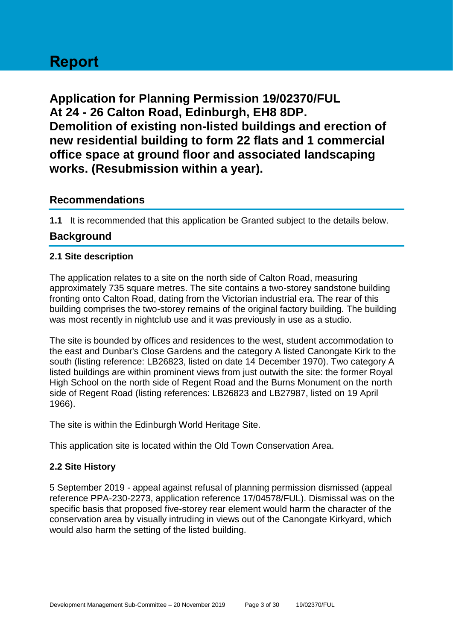# **Report**

**Application for Planning Permission 19/02370/FUL At 24 - 26 Calton Road, Edinburgh, EH8 8DP. Demolition of existing non-listed buildings and erection of new residential building to form 22 flats and 1 commercial office space at ground floor and associated landscaping works. (Resubmission within a year).**

# **Recommendations**

**1.1** It is recommended that this application be Granted subject to the details below.

# **Background**

# **2.1 Site description**

The application relates to a site on the north side of Calton Road, measuring approximately 735 square metres. The site contains a two-storey sandstone building fronting onto Calton Road, dating from the Victorian industrial era. The rear of this building comprises the two-storey remains of the original factory building. The building was most recently in nightclub use and it was previously in use as a studio.

The site is bounded by offices and residences to the west, student accommodation to the east and Dunbar's Close Gardens and the category A listed Canongate Kirk to the south (listing reference: LB26823, listed on date 14 December 1970). Two category A listed buildings are within prominent views from just outwith the site: the former Royal High School on the north side of Regent Road and the Burns Monument on the north side of Regent Road (listing references: LB26823 and LB27987, listed on 19 April 1966).

The site is within the Edinburgh World Heritage Site.

This application site is located within the Old Town Conservation Area.

# **2.2 Site History**

5 September 2019 - appeal against refusal of planning permission dismissed (appeal reference PPA-230-2273, application reference 17/04578/FUL). Dismissal was on the specific basis that proposed five-storey rear element would harm the character of the conservation area by visually intruding in views out of the Canongate Kirkyard, which would also harm the setting of the listed building.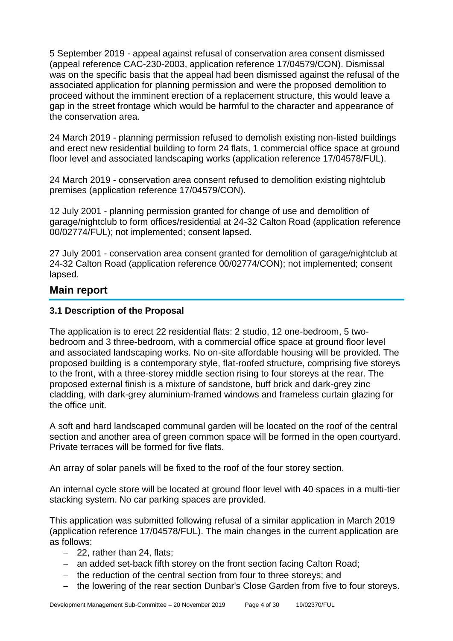5 September 2019 - appeal against refusal of conservation area consent dismissed (appeal reference CAC-230-2003, application reference 17/04579/CON). Dismissal was on the specific basis that the appeal had been dismissed against the refusal of the associated application for planning permission and were the proposed demolition to proceed without the imminent erection of a replacement structure, this would leave a gap in the street frontage which would be harmful to the character and appearance of the conservation area.

24 March 2019 - planning permission refused to demolish existing non-listed buildings and erect new residential building to form 24 flats, 1 commercial office space at ground floor level and associated landscaping works (application reference 17/04578/FUL).

24 March 2019 - conservation area consent refused to demolition existing nightclub premises (application reference 17/04579/CON).

12 July 2001 - planning permission granted for change of use and demolition of garage/nightclub to form offices/residential at 24-32 Calton Road (application reference 00/02774/FUL); not implemented; consent lapsed.

27 July 2001 - conservation area consent granted for demolition of garage/nightclub at 24-32 Calton Road (application reference 00/02774/CON); not implemented; consent lapsed.

# **Main report**

# **3.1 Description of the Proposal**

The application is to erect 22 residential flats: 2 studio, 12 one-bedroom, 5 twobedroom and 3 three-bedroom, with a commercial office space at ground floor level and associated landscaping works. No on-site affordable housing will be provided. The proposed building is a contemporary style, flat-roofed structure, comprising five storeys to the front, with a three-storey middle section rising to four storeys at the rear. The proposed external finish is a mixture of sandstone, buff brick and dark-grey zinc cladding, with dark-grey aluminium-framed windows and frameless curtain glazing for the office unit.

A soft and hard landscaped communal garden will be located on the roof of the central section and another area of green common space will be formed in the open courtyard. Private terraces will be formed for five flats.

An array of solar panels will be fixed to the roof of the four storey section.

An internal cycle store will be located at ground floor level with 40 spaces in a multi-tier stacking system. No car parking spaces are provided.

This application was submitted following refusal of a similar application in March 2019 (application reference 17/04578/FUL). The main changes in the current application are as follows:

- − 22, rather than 24, flats;
- − an added set-back fifth storey on the front section facing Calton Road;
- − the reduction of the central section from four to three storeys; and
- − the lowering of the rear section Dunbar's Close Garden from five to four storeys.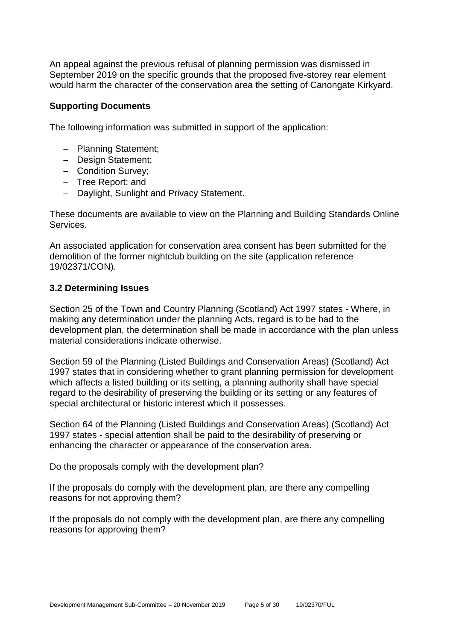An appeal against the previous refusal of planning permission was dismissed in September 2019 on the specific grounds that the proposed five-storey rear element would harm the character of the conservation area the setting of Canongate Kirkyard.

#### **Supporting Documents**

The following information was submitted in support of the application:

- − Planning Statement;
- − Design Statement;
- − Condition Survey;
- − Tree Report; and
- − Daylight, Sunlight and Privacy Statement.

These documents are available to view on the Planning and Building Standards Online **Services** 

An associated application for conservation area consent has been submitted for the demolition of the former nightclub building on the site (application reference 19/02371/CON).

# **3.2 Determining Issues**

Section 25 of the Town and Country Planning (Scotland) Act 1997 states - Where, in making any determination under the planning Acts, regard is to be had to the development plan, the determination shall be made in accordance with the plan unless material considerations indicate otherwise.

Section 59 of the Planning (Listed Buildings and Conservation Areas) (Scotland) Act 1997 states that in considering whether to grant planning permission for development which affects a listed building or its setting, a planning authority shall have special regard to the desirability of preserving the building or its setting or any features of special architectural or historic interest which it possesses.

Section 64 of the Planning (Listed Buildings and Conservation Areas) (Scotland) Act 1997 states - special attention shall be paid to the desirability of preserving or enhancing the character or appearance of the conservation area.

Do the proposals comply with the development plan?

If the proposals do comply with the development plan, are there any compelling reasons for not approving them?

If the proposals do not comply with the development plan, are there any compelling reasons for approving them?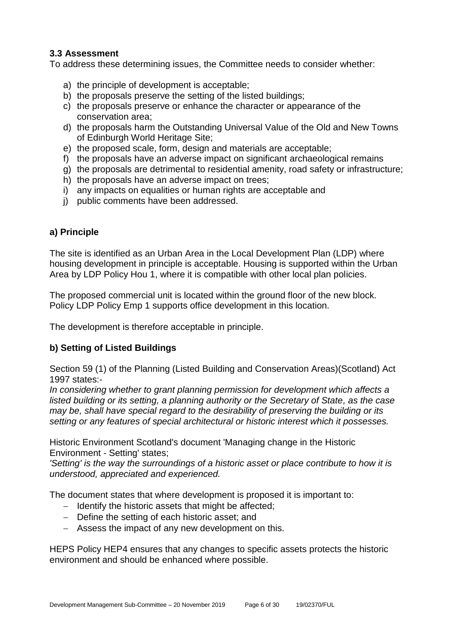# **3.3 Assessment**

To address these determining issues, the Committee needs to consider whether:

- a) the principle of development is acceptable;
- b) the proposals preserve the setting of the listed buildings;
- c) the proposals preserve or enhance the character or appearance of the conservation area;
- d) the proposals harm the Outstanding Universal Value of the Old and New Towns of Edinburgh World Heritage Site;
- e) the proposed scale, form, design and materials are acceptable;
- f) the proposals have an adverse impact on significant archaeological remains
- g) the proposals are detrimental to residential amenity, road safety or infrastructure;
- h) the proposals have an adverse impact on trees;
- i) any impacts on equalities or human rights are acceptable and
- j) public comments have been addressed.

# **a) Principle**

The site is identified as an Urban Area in the Local Development Plan (LDP) where housing development in principle is acceptable. Housing is supported within the Urban Area by LDP Policy Hou 1, where it is compatible with other local plan policies.

The proposed commercial unit is located within the ground floor of the new block. Policy LDP Policy Emp 1 supports office development in this location.

The development is therefore acceptable in principle.

# **b) Setting of Listed Buildings**

Section 59 (1) of the Planning (Listed Building and Conservation Areas)(Scotland) Act 1997 states:-

*In considering whether to grant planning permission for development which affects a listed building or its setting, a planning authority or the Secretary of State, as the case may be, shall have special regard to the desirability of preserving the building or its setting or any features of special architectural or historic interest which it possesses.*

Historic Environment Scotland's document 'Managing change in the Historic Environment - Setting' states;

*'Setting' is the way the surroundings of a historic asset or place contribute to how it is understood, appreciated and experienced.*

The document states that where development is proposed it is important to:

- − Identify the historic assets that might be affected;
- − Define the setting of each historic asset; and
- − Assess the impact of any new development on this.

HEPS Policy HEP4 ensures that any changes to specific assets protects the historic environment and should be enhanced where possible.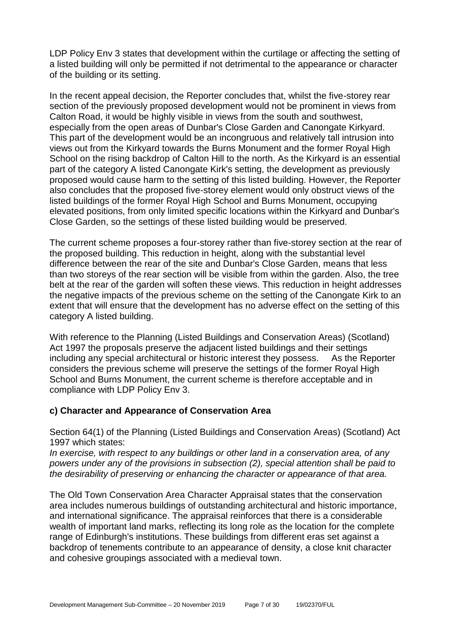LDP Policy Env 3 states that development within the curtilage or affecting the setting of a listed building will only be permitted if not detrimental to the appearance or character of the building or its setting.

In the recent appeal decision, the Reporter concludes that, whilst the five-storey rear section of the previously proposed development would not be prominent in views from Calton Road, it would be highly visible in views from the south and southwest, especially from the open areas of Dunbar's Close Garden and Canongate Kirkyard. This part of the development would be an incongruous and relatively tall intrusion into views out from the Kirkyard towards the Burns Monument and the former Royal High School on the rising backdrop of Calton Hill to the north. As the Kirkyard is an essential part of the category A listed Canongate Kirk's setting, the development as previously proposed would cause harm to the setting of this listed building. However, the Reporter also concludes that the proposed five-storey element would only obstruct views of the listed buildings of the former Royal High School and Burns Monument, occupying elevated positions, from only limited specific locations within the Kirkyard and Dunbar's Close Garden, so the settings of these listed building would be preserved.

The current scheme proposes a four-storey rather than five-storey section at the rear of the proposed building. This reduction in height, along with the substantial level difference between the rear of the site and Dunbar's Close Garden, means that less than two storeys of the rear section will be visible from within the garden. Also, the tree belt at the rear of the garden will soften these views. This reduction in height addresses the negative impacts of the previous scheme on the setting of the Canongate Kirk to an extent that will ensure that the development has no adverse effect on the setting of this category A listed building.

With reference to the Planning (Listed Buildings and Conservation Areas) (Scotland) Act 1997 the proposals preserve the adjacent listed buildings and their settings including any special architectural or historic interest they possess. As the Reporter considers the previous scheme will preserve the settings of the former Royal High School and Burns Monument, the current scheme is therefore acceptable and in compliance with LDP Policy Env 3.

# **c) Character and Appearance of Conservation Area**

Section 64(1) of the Planning (Listed Buildings and Conservation Areas) (Scotland) Act 1997 which states:

*In exercise, with respect to any buildings or other land in a conservation area, of any powers under any of the provisions in subsection (2), special attention shall be paid to the desirability of preserving or enhancing the character or appearance of that area.*

The Old Town Conservation Area Character Appraisal states that the conservation area includes numerous buildings of outstanding architectural and historic importance, and international significance. The appraisal reinforces that there is a considerable wealth of important land marks, reflecting its long role as the location for the complete range of Edinburgh's institutions. These buildings from different eras set against a backdrop of tenements contribute to an appearance of density, a close knit character and cohesive groupings associated with a medieval town.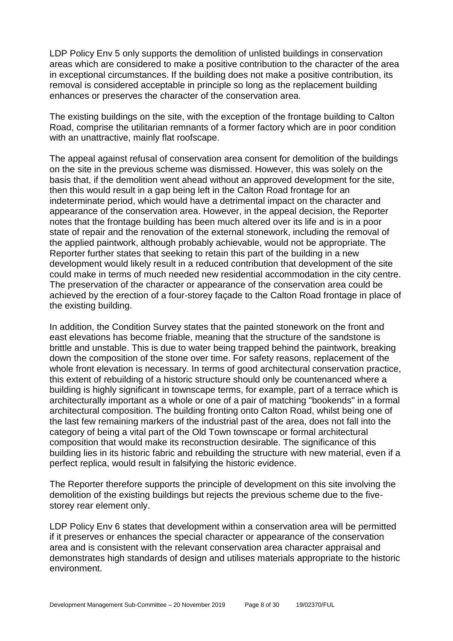LDP Policy Env 5 only supports the demolition of unlisted buildings in conservation areas which are considered to make a positive contribution to the character of the area in exceptional circumstances. If the building does not make a positive contribution, its removal is considered acceptable in principle so long as the replacement building enhances or preserves the character of the conservation area.

The existing buildings on the site, with the exception of the frontage building to Calton Road, comprise the utilitarian remnants of a former factory which are in poor condition with an unattractive, mainly flat roofscape.

The appeal against refusal of conservation area consent for demolition of the buildings on the site in the previous scheme was dismissed. However, this was solely on the basis that, if the demolition went ahead without an approved development for the site, then this would result in a gap being left in the Calton Road frontage for an indeterminate period, which would have a detrimental impact on the character and appearance of the conservation area. However, in the appeal decision, the Reporter notes that the frontage building has been much altered over its life and is in a poor state of repair and the renovation of the external stonework, including the removal of the applied paintwork, although probably achievable, would not be appropriate. The Reporter further states that seeking to retain this part of the building in a new development would likely result in a reduced contribution that development of the site could make in terms of much needed new residential accommodation in the city centre. The preservation of the character or appearance of the conservation area could be achieved by the erection of a four-storey façade to the Calton Road frontage in place of the existing building.

In addition, the Condition Survey states that the painted stonework on the front and east elevations has become friable, meaning that the structure of the sandstone is brittle and unstable. This is due to water being trapped behind the paintwork, breaking down the composition of the stone over time. For safety reasons, replacement of the whole front elevation is necessary. In terms of good architectural conservation practice, this extent of rebuilding of a historic structure should only be countenanced where a building is highly significant in townscape terms, for example, part of a terrace which is architecturally important as a whole or one of a pair of matching "bookends" in a formal architectural composition. The building fronting onto Calton Road, whilst being one of the last few remaining markers of the industrial past of the area, does not fall into the category of being a vital part of the Old Town townscape or formal architectural composition that would make its reconstruction desirable. The significance of this building lies in its historic fabric and rebuilding the structure with new material, even if a perfect replica, would result in falsifying the historic evidence.

The Reporter therefore supports the principle of development on this site involving the demolition of the existing buildings but rejects the previous scheme due to the fivestorey rear element only.

LDP Policy Env 6 states that development within a conservation area will be permitted if it preserves or enhances the special character or appearance of the conservation area and is consistent with the relevant conservation area character appraisal and demonstrates high standards of design and utilises materials appropriate to the historic environment.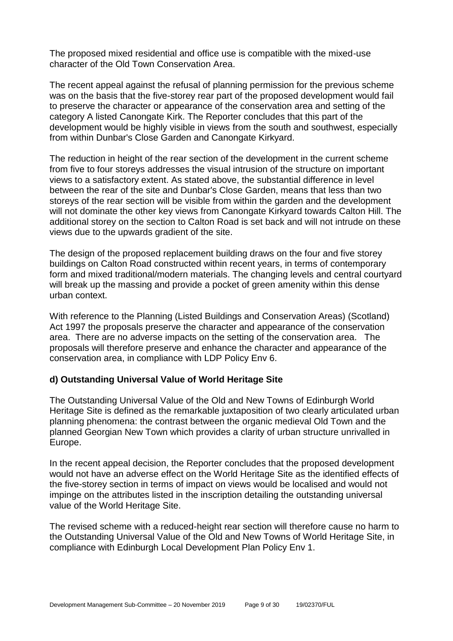The proposed mixed residential and office use is compatible with the mixed-use character of the Old Town Conservation Area.

The recent appeal against the refusal of planning permission for the previous scheme was on the basis that the five-storey rear part of the proposed development would fail to preserve the character or appearance of the conservation area and setting of the category A listed Canongate Kirk. The Reporter concludes that this part of the development would be highly visible in views from the south and southwest, especially from within Dunbar's Close Garden and Canongate Kirkyard.

The reduction in height of the rear section of the development in the current scheme from five to four storeys addresses the visual intrusion of the structure on important views to a satisfactory extent. As stated above, the substantial difference in level between the rear of the site and Dunbar's Close Garden, means that less than two storeys of the rear section will be visible from within the garden and the development will not dominate the other key views from Canongate Kirkyard towards Calton Hill. The additional storey on the section to Calton Road is set back and will not intrude on these views due to the upwards gradient of the site.

The design of the proposed replacement building draws on the four and five storey buildings on Calton Road constructed within recent years, in terms of contemporary form and mixed traditional/modern materials. The changing levels and central courtyard will break up the massing and provide a pocket of green amenity within this dense urban context.

With reference to the Planning (Listed Buildings and Conservation Areas) (Scotland) Act 1997 the proposals preserve the character and appearance of the conservation area. There are no adverse impacts on the setting of the conservation area. The proposals will therefore preserve and enhance the character and appearance of the conservation area, in compliance with LDP Policy Env 6.

# **d) Outstanding Universal Value of World Heritage Site**

The Outstanding Universal Value of the Old and New Towns of Edinburgh World Heritage Site is defined as the remarkable juxtaposition of two clearly articulated urban planning phenomena: the contrast between the organic medieval Old Town and the planned Georgian New Town which provides a clarity of urban structure unrivalled in Europe.

In the recent appeal decision, the Reporter concludes that the proposed development would not have an adverse effect on the World Heritage Site as the identified effects of the five-storey section in terms of impact on views would be localised and would not impinge on the attributes listed in the inscription detailing the outstanding universal value of the World Heritage Site.

The revised scheme with a reduced-height rear section will therefore cause no harm to the Outstanding Universal Value of the Old and New Towns of World Heritage Site, in compliance with Edinburgh Local Development Plan Policy Env 1.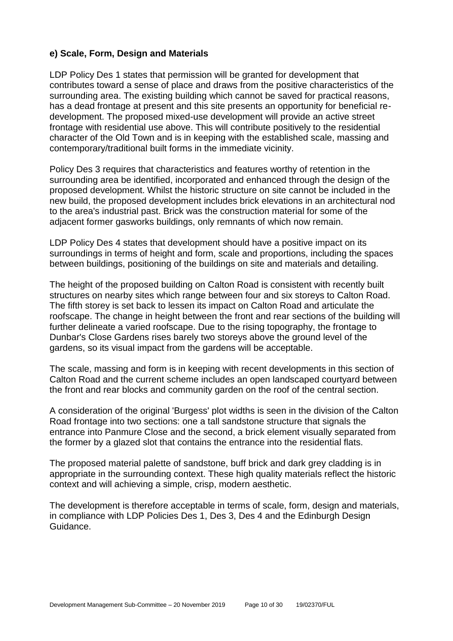# **e) Scale, Form, Design and Materials**

LDP Policy Des 1 states that permission will be granted for development that contributes toward a sense of place and draws from the positive characteristics of the surrounding area. The existing building which cannot be saved for practical reasons, has a dead frontage at present and this site presents an opportunity for beneficial redevelopment. The proposed mixed-use development will provide an active street frontage with residential use above. This will contribute positively to the residential character of the Old Town and is in keeping with the established scale, massing and contemporary/traditional built forms in the immediate vicinity.

Policy Des 3 requires that characteristics and features worthy of retention in the surrounding area be identified, incorporated and enhanced through the design of the proposed development. Whilst the historic structure on site cannot be included in the new build, the proposed development includes brick elevations in an architectural nod to the area's industrial past. Brick was the construction material for some of the adjacent former gasworks buildings, only remnants of which now remain.

LDP Policy Des 4 states that development should have a positive impact on its surroundings in terms of height and form, scale and proportions, including the spaces between buildings, positioning of the buildings on site and materials and detailing.

The height of the proposed building on Calton Road is consistent with recently built structures on nearby sites which range between four and six storeys to Calton Road. The fifth storey is set back to lessen its impact on Calton Road and articulate the roofscape. The change in height between the front and rear sections of the building will further delineate a varied roofscape. Due to the rising topography, the frontage to Dunbar's Close Gardens rises barely two storeys above the ground level of the gardens, so its visual impact from the gardens will be acceptable.

The scale, massing and form is in keeping with recent developments in this section of Calton Road and the current scheme includes an open landscaped courtyard between the front and rear blocks and community garden on the roof of the central section.

A consideration of the original 'Burgess' plot widths is seen in the division of the Calton Road frontage into two sections: one a tall sandstone structure that signals the entrance into Panmure Close and the second, a brick element visually separated from the former by a glazed slot that contains the entrance into the residential flats.

The proposed material palette of sandstone, buff brick and dark grey cladding is in appropriate in the surrounding context. These high quality materials reflect the historic context and will achieving a simple, crisp, modern aesthetic.

The development is therefore acceptable in terms of scale, form, design and materials, in compliance with LDP Policies Des 1, Des 3, Des 4 and the Edinburgh Design Guidance.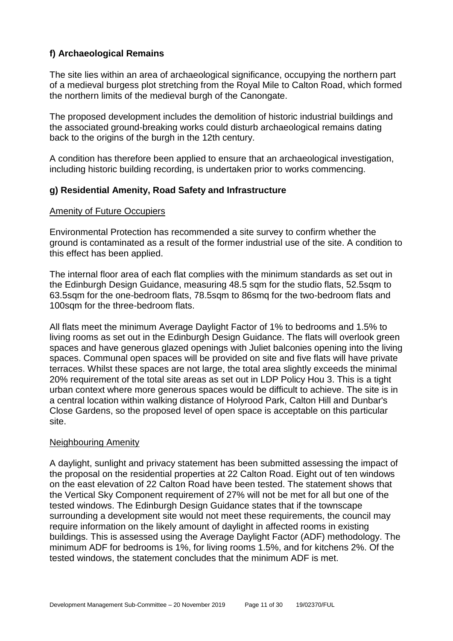# **f) Archaeological Remains**

The site lies within an area of archaeological significance, occupying the northern part of a medieval burgess plot stretching from the Royal Mile to Calton Road, which formed the northern limits of the medieval burgh of the Canongate.

The proposed development includes the demolition of historic industrial buildings and the associated ground-breaking works could disturb archaeological remains dating back to the origins of the burgh in the 12th century.

A condition has therefore been applied to ensure that an archaeological investigation, including historic building recording, is undertaken prior to works commencing.

# **g) Residential Amenity, Road Safety and Infrastructure**

#### **Amenity of Future Occupiers**

Environmental Protection has recommended a site survey to confirm whether the ground is contaminated as a result of the former industrial use of the site. A condition to this effect has been applied.

The internal floor area of each flat complies with the minimum standards as set out in the Edinburgh Design Guidance, measuring 48.5 sqm for the studio flats, 52.5sqm to 63.5sqm for the one-bedroom flats, 78.5sqm to 86smq for the two-bedroom flats and 100sqm for the three-bedroom flats.

All flats meet the minimum Average Daylight Factor of 1% to bedrooms and 1.5% to living rooms as set out in the Edinburgh Design Guidance. The flats will overlook green spaces and have generous glazed openings with Juliet balconies opening into the living spaces. Communal open spaces will be provided on site and five flats will have private terraces. Whilst these spaces are not large, the total area slightly exceeds the minimal 20% requirement of the total site areas as set out in LDP Policy Hou 3. This is a tight urban context where more generous spaces would be difficult to achieve. The site is in a central location within walking distance of Holyrood Park, Calton Hill and Dunbar's Close Gardens, so the proposed level of open space is acceptable on this particular site.

#### Neighbouring Amenity

A daylight, sunlight and privacy statement has been submitted assessing the impact of the proposal on the residential properties at 22 Calton Road. Eight out of ten windows on the east elevation of 22 Calton Road have been tested. The statement shows that the Vertical Sky Component requirement of 27% will not be met for all but one of the tested windows. The Edinburgh Design Guidance states that if the townscape surrounding a development site would not meet these requirements, the council may require information on the likely amount of daylight in affected rooms in existing buildings. This is assessed using the Average Daylight Factor (ADF) methodology. The minimum ADF for bedrooms is 1%, for living rooms 1.5%, and for kitchens 2%. Of the tested windows, the statement concludes that the minimum ADF is met.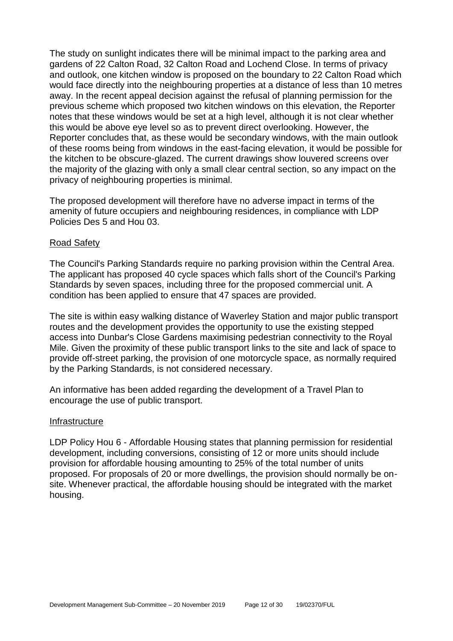The study on sunlight indicates there will be minimal impact to the parking area and gardens of 22 Calton Road, 32 Calton Road and Lochend Close. In terms of privacy and outlook, one kitchen window is proposed on the boundary to 22 Calton Road which would face directly into the neighbouring properties at a distance of less than 10 metres away. In the recent appeal decision against the refusal of planning permission for the previous scheme which proposed two kitchen windows on this elevation, the Reporter notes that these windows would be set at a high level, although it is not clear whether this would be above eye level so as to prevent direct overlooking. However, the Reporter concludes that, as these would be secondary windows, with the main outlook of these rooms being from windows in the east-facing elevation, it would be possible for the kitchen to be obscure-glazed. The current drawings show louvered screens over the majority of the glazing with only a small clear central section, so any impact on the privacy of neighbouring properties is minimal.

The proposed development will therefore have no adverse impact in terms of the amenity of future occupiers and neighbouring residences, in compliance with LDP Policies Des 5 and Hou 03.

#### Road Safety

The Council's Parking Standards require no parking provision within the Central Area. The applicant has proposed 40 cycle spaces which falls short of the Council's Parking Standards by seven spaces, including three for the proposed commercial unit. A condition has been applied to ensure that 47 spaces are provided.

The site is within easy walking distance of Waverley Station and major public transport routes and the development provides the opportunity to use the existing stepped access into Dunbar's Close Gardens maximising pedestrian connectivity to the Royal Mile. Given the proximity of these public transport links to the site and lack of space to provide off-street parking, the provision of one motorcycle space, as normally required by the Parking Standards, is not considered necessary.

An informative has been added regarding the development of a Travel Plan to encourage the use of public transport.

#### Infrastructure

LDP Policy Hou 6 - Affordable Housing states that planning permission for residential development, including conversions, consisting of 12 or more units should include provision for affordable housing amounting to 25% of the total number of units proposed. For proposals of 20 or more dwellings, the provision should normally be onsite. Whenever practical, the affordable housing should be integrated with the market housing.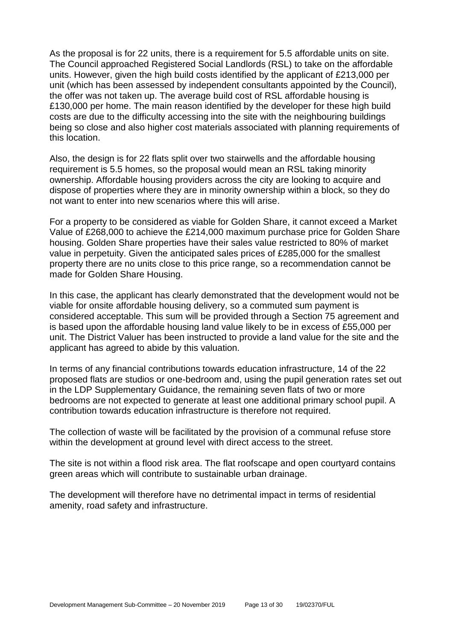As the proposal is for 22 units, there is a requirement for 5.5 affordable units on site. The Council approached Registered Social Landlords (RSL) to take on the affordable units. However, given the high build costs identified by the applicant of £213,000 per unit (which has been assessed by independent consultants appointed by the Council), the offer was not taken up. The average build cost of RSL affordable housing is £130,000 per home. The main reason identified by the developer for these high build costs are due to the difficulty accessing into the site with the neighbouring buildings being so close and also higher cost materials associated with planning requirements of this location.

Also, the design is for 22 flats split over two stairwells and the affordable housing requirement is 5.5 homes, so the proposal would mean an RSL taking minority ownership. Affordable housing providers across the city are looking to acquire and dispose of properties where they are in minority ownership within a block, so they do not want to enter into new scenarios where this will arise.

For a property to be considered as viable for Golden Share, it cannot exceed a Market Value of £268,000 to achieve the £214,000 maximum purchase price for Golden Share housing. Golden Share properties have their sales value restricted to 80% of market value in perpetuity. Given the anticipated sales prices of £285,000 for the smallest property there are no units close to this price range, so a recommendation cannot be made for Golden Share Housing.

In this case, the applicant has clearly demonstrated that the development would not be viable for onsite affordable housing delivery, so a commuted sum payment is considered acceptable. This sum will be provided through a Section 75 agreement and is based upon the affordable housing land value likely to be in excess of £55,000 per unit. The District Valuer has been instructed to provide a land value for the site and the applicant has agreed to abide by this valuation.

In terms of any financial contributions towards education infrastructure, 14 of the 22 proposed flats are studios or one-bedroom and, using the pupil generation rates set out in the LDP Supplementary Guidance, the remaining seven flats of two or more bedrooms are not expected to generate at least one additional primary school pupil. A contribution towards education infrastructure is therefore not required.

The collection of waste will be facilitated by the provision of a communal refuse store within the development at ground level with direct access to the street.

The site is not within a flood risk area. The flat roofscape and open courtyard contains green areas which will contribute to sustainable urban drainage.

The development will therefore have no detrimental impact in terms of residential amenity, road safety and infrastructure.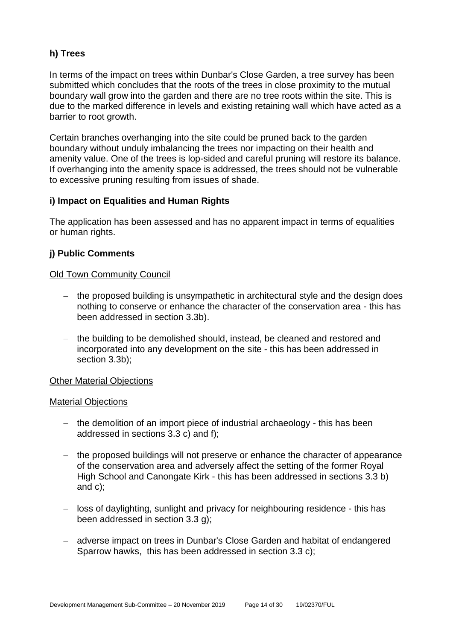# **h) Trees**

In terms of the impact on trees within Dunbar's Close Garden, a tree survey has been submitted which concludes that the roots of the trees in close proximity to the mutual boundary wall grow into the garden and there are no tree roots within the site. This is due to the marked difference in levels and existing retaining wall which have acted as a barrier to root growth.

Certain branches overhanging into the site could be pruned back to the garden boundary without unduly imbalancing the trees nor impacting on their health and amenity value. One of the trees is lop-sided and careful pruning will restore its balance. If overhanging into the amenity space is addressed, the trees should not be vulnerable to excessive pruning resulting from issues of shade.

# **i) Impact on Equalities and Human Rights**

The application has been assessed and has no apparent impact in terms of equalities or human rights.

# **j) Public Comments**

#### Old Town Community Council

- − the proposed building is unsympathetic in architectural style and the design does nothing to conserve or enhance the character of the conservation area - this has been addressed in section 3.3b).
- − the building to be demolished should, instead, be cleaned and restored and incorporated into any development on the site - this has been addressed in section 3.3b);

# Other Material Objections

#### Material Objections

- − the demolition of an import piece of industrial archaeology this has been addressed in sections 3.3 c) and f);
- − the proposed buildings will not preserve or enhance the character of appearance of the conservation area and adversely affect the setting of the former Royal High School and Canongate Kirk - this has been addressed in sections 3.3 b) and c);
- − loss of daylighting, sunlight and privacy for neighbouring residence this has been addressed in section 3.3 g);
- − adverse impact on trees in Dunbar's Close Garden and habitat of endangered Sparrow hawks, this has been addressed in section 3.3 c);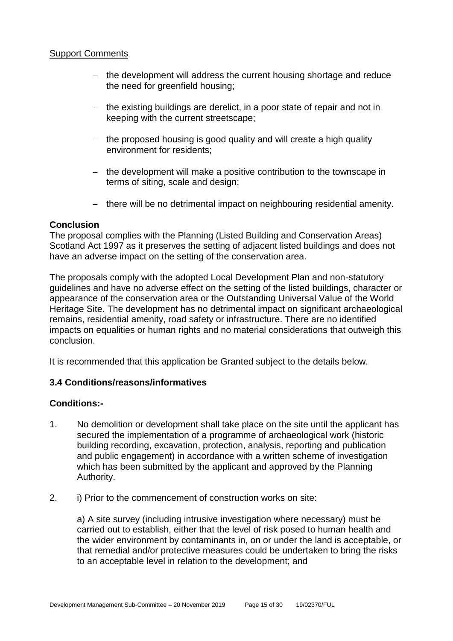#### **Support Comments**

- − the development will address the current housing shortage and reduce the need for greenfield housing;
- − the existing buildings are derelict, in a poor state of repair and not in keeping with the current streetscape;
- − the proposed housing is good quality and will create a high quality environment for residents;
- − the development will make a positive contribution to the townscape in terms of siting, scale and design;
- − there will be no detrimental impact on neighbouring residential amenity.

# **Conclusion**

The proposal complies with the Planning (Listed Building and Conservation Areas) Scotland Act 1997 as it preserves the setting of adjacent listed buildings and does not have an adverse impact on the setting of the conservation area.

The proposals comply with the adopted Local Development Plan and non-statutory guidelines and have no adverse effect on the setting of the listed buildings, character or appearance of the conservation area or the Outstanding Universal Value of the World Heritage Site. The development has no detrimental impact on significant archaeological remains, residential amenity, road safety or infrastructure. There are no identified impacts on equalities or human rights and no material considerations that outweigh this conclusion.

It is recommended that this application be Granted subject to the details below.

# **3.4 Conditions/reasons/informatives**

#### **Conditions:-**

- 1. No demolition or development shall take place on the site until the applicant has secured the implementation of a programme of archaeological work (historic building recording, excavation, protection, analysis, reporting and publication and public engagement) in accordance with a written scheme of investigation which has been submitted by the applicant and approved by the Planning Authority.
- 2. i) Prior to the commencement of construction works on site:

a) A site survey (including intrusive investigation where necessary) must be carried out to establish, either that the level of risk posed to human health and the wider environment by contaminants in, on or under the land is acceptable, or that remedial and/or protective measures could be undertaken to bring the risks to an acceptable level in relation to the development; and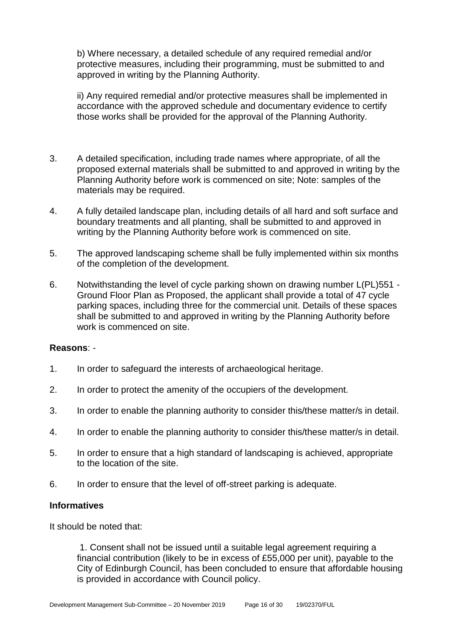b) Where necessary, a detailed schedule of any required remedial and/or protective measures, including their programming, must be submitted to and approved in writing by the Planning Authority.

ii) Any required remedial and/or protective measures shall be implemented in accordance with the approved schedule and documentary evidence to certify those works shall be provided for the approval of the Planning Authority.

- 3. A detailed specification, including trade names where appropriate, of all the proposed external materials shall be submitted to and approved in writing by the Planning Authority before work is commenced on site; Note: samples of the materials may be required.
- 4. A fully detailed landscape plan, including details of all hard and soft surface and boundary treatments and all planting, shall be submitted to and approved in writing by the Planning Authority before work is commenced on site.
- 5. The approved landscaping scheme shall be fully implemented within six months of the completion of the development.
- 6. Notwithstanding the level of cycle parking shown on drawing number L(PL)551 Ground Floor Plan as Proposed, the applicant shall provide a total of 47 cycle parking spaces, including three for the commercial unit. Details of these spaces shall be submitted to and approved in writing by the Planning Authority before work is commenced on site.

#### **Reasons**: -

- 1. In order to safeguard the interests of archaeological heritage.
- 2. In order to protect the amenity of the occupiers of the development.
- 3. In order to enable the planning authority to consider this/these matter/s in detail.
- 4. In order to enable the planning authority to consider this/these matter/s in detail.
- 5. In order to ensure that a high standard of landscaping is achieved, appropriate to the location of the site.
- 6. In order to ensure that the level of off-street parking is adequate.

#### **Informatives**

It should be noted that:

1. Consent shall not be issued until a suitable legal agreement requiring a financial contribution (likely to be in excess of £55,000 per unit), payable to the City of Edinburgh Council, has been concluded to ensure that affordable housing is provided in accordance with Council policy.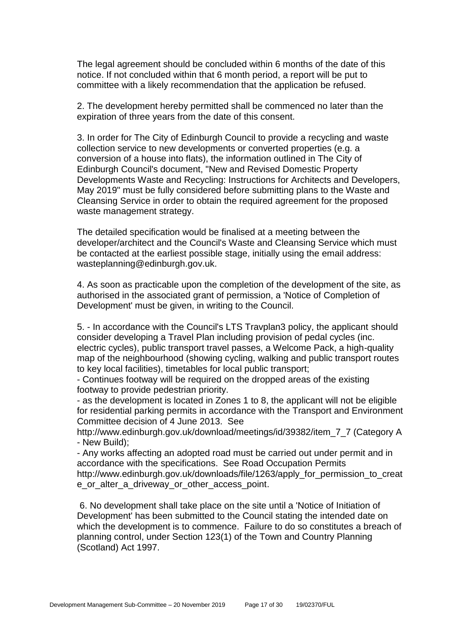The legal agreement should be concluded within 6 months of the date of this notice. If not concluded within that 6 month period, a report will be put to committee with a likely recommendation that the application be refused.

2. The development hereby permitted shall be commenced no later than the expiration of three years from the date of this consent.

3. In order for The City of Edinburgh Council to provide a recycling and waste collection service to new developments or converted properties (e.g. a conversion of a house into flats), the information outlined in The City of Edinburgh Council's document, "New and Revised Domestic Property Developments Waste and Recycling: Instructions for Architects and Developers, May 2019" must be fully considered before submitting plans to the Waste and Cleansing Service in order to obtain the required agreement for the proposed waste management strategy.

The detailed specification would be finalised at a meeting between the developer/architect and the Council's Waste and Cleansing Service which must be contacted at the earliest possible stage, initially using the email address: wasteplanning@edinburgh.gov.uk.

4. As soon as practicable upon the completion of the development of the site, as authorised in the associated grant of permission, a 'Notice of Completion of Development' must be given, in writing to the Council.

5. - In accordance with the Council's LTS Travplan3 policy, the applicant should consider developing a Travel Plan including provision of pedal cycles (inc. electric cycles), public transport travel passes, a Welcome Pack, a high-quality map of the neighbourhood (showing cycling, walking and public transport routes to key local facilities), timetables for local public transport;

- Continues footway will be required on the dropped areas of the existing footway to provide pedestrian priority.

- as the development is located in Zones 1 to 8, the applicant will not be eligible for residential parking permits in accordance with the Transport and Environment Committee decision of 4 June 2013. See

http://www.edinburgh.gov.uk/download/meetings/id/39382/item\_7\_7 (Category A - New Build);

- Any works affecting an adopted road must be carried out under permit and in accordance with the specifications. See Road Occupation Permits http://www.edinburgh.gov.uk/downloads/file/1263/apply for permission to creat e\_or\_alter\_a\_driveway\_or\_other\_access\_point.

6. No development shall take place on the site until a 'Notice of Initiation of Development' has been submitted to the Council stating the intended date on which the development is to commence. Failure to do so constitutes a breach of planning control, under Section 123(1) of the Town and Country Planning (Scotland) Act 1997.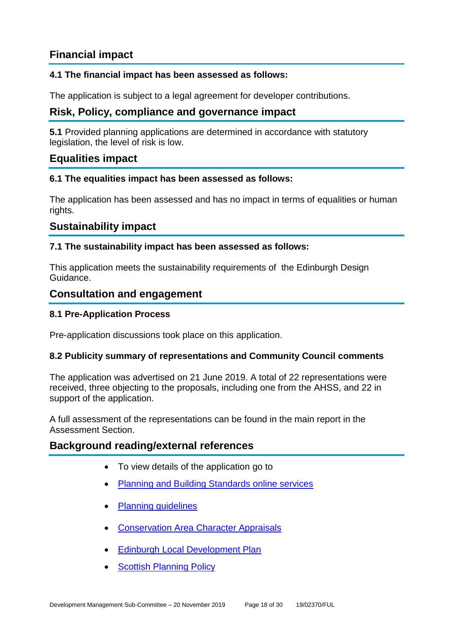# **Financial impact**

# **4.1 The financial impact has been assessed as follows:**

The application is subject to a legal agreement for developer contributions.

# **Risk, Policy, compliance and governance impact**

**5.1** Provided planning applications are determined in accordance with statutory legislation, the level of risk is low.

# **Equalities impact**

# **6.1 The equalities impact has been assessed as follows:**

The application has been assessed and has no impact in terms of equalities or human rights.

# **Sustainability impact**

# **7.1 The sustainability impact has been assessed as follows:**

This application meets the sustainability requirements of the Edinburgh Design Guidance.

# **Consultation and engagement**

# **8.1 Pre-Application Process**

Pre-application discussions took place on this application.

# **8.2 Publicity summary of representations and Community Council comments**

The application was advertised on 21 June 2019. A total of 22 representations were received, three objecting to the proposals, including one from the AHSS, and 22 in support of the application.

A full assessment of the representations can be found in the main report in the Assessment Section.

# **Background reading/external references**

- To view details of the application go to
- [Planning and Building Standards online services](https://citydev-portal.edinburgh.gov.uk/idoxpa-web/search.do?action=simple&searchType=Application)
- [Planning guidelines](http://www.edinburgh.gov.uk/planningguidelines)
- [Conservation Area Character Appraisals](http://www.edinburgh.gov.uk/characterappraisals)
- [Edinburgh Local Development Plan](http://www.edinburgh.gov.uk/localdevelopmentplan)
- **[Scottish Planning Policy](http://www.scotland.gov.uk/Topics/Built-Environment/planning/Policy)**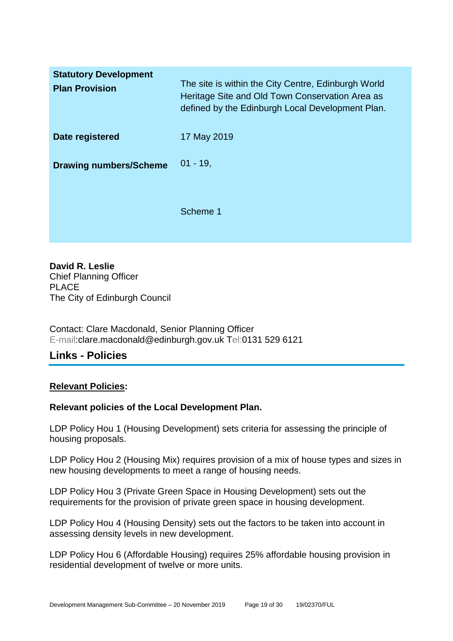| <b>Statutory Development</b><br><b>Plan Provision</b> | The site is within the City Centre, Edinburgh World<br>Heritage Site and Old Town Conservation Area as<br>defined by the Edinburgh Local Development Plan. |
|-------------------------------------------------------|------------------------------------------------------------------------------------------------------------------------------------------------------------|
| Date registered                                       | 17 May 2019                                                                                                                                                |
| <b>Drawing numbers/Scheme</b>                         | $01 - 19$                                                                                                                                                  |
|                                                       | Scheme 1                                                                                                                                                   |

**David R. Leslie** Chief Planning Officer PLACE The City of Edinburgh Council

Contact: Clare Macdonald, Senior Planning Officer E-mail:clare.macdonald@edinburgh.gov.uk Tel:0131 529 6121

# **Links - Policies**

# **Relevant Policies:**

# **Relevant policies of the Local Development Plan.**

LDP Policy Hou 1 (Housing Development) sets criteria for assessing the principle of housing proposals.

LDP Policy Hou 2 (Housing Mix) requires provision of a mix of house types and sizes in new housing developments to meet a range of housing needs.

LDP Policy Hou 3 (Private Green Space in Housing Development) sets out the requirements for the provision of private green space in housing development.

LDP Policy Hou 4 (Housing Density) sets out the factors to be taken into account in assessing density levels in new development.

LDP Policy Hou 6 (Affordable Housing) requires 25% affordable housing provision in residential development of twelve or more units.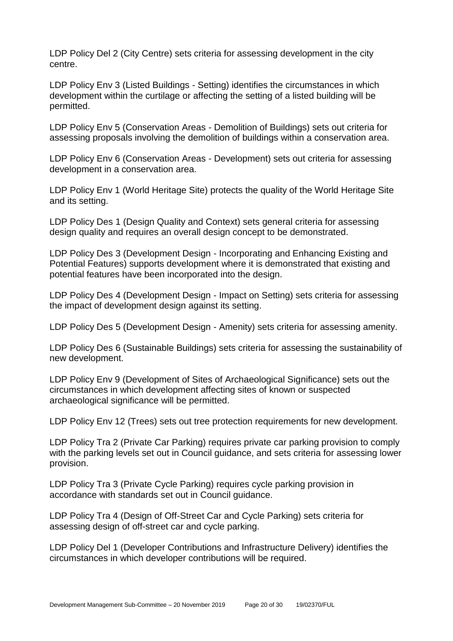LDP Policy Del 2 (City Centre) sets criteria for assessing development in the city centre.

LDP Policy Env 3 (Listed Buildings - Setting) identifies the circumstances in which development within the curtilage or affecting the setting of a listed building will be permitted.

LDP Policy Env 5 (Conservation Areas - Demolition of Buildings) sets out criteria for assessing proposals involving the demolition of buildings within a conservation area.

LDP Policy Env 6 (Conservation Areas - Development) sets out criteria for assessing development in a conservation area.

LDP Policy Env 1 (World Heritage Site) protects the quality of the World Heritage Site and its setting.

LDP Policy Des 1 (Design Quality and Context) sets general criteria for assessing design quality and requires an overall design concept to be demonstrated.

LDP Policy Des 3 (Development Design - Incorporating and Enhancing Existing and Potential Features) supports development where it is demonstrated that existing and potential features have been incorporated into the design.

LDP Policy Des 4 (Development Design - Impact on Setting) sets criteria for assessing the impact of development design against its setting.

LDP Policy Des 5 (Development Design - Amenity) sets criteria for assessing amenity.

LDP Policy Des 6 (Sustainable Buildings) sets criteria for assessing the sustainability of new development.

LDP Policy Env 9 (Development of Sites of Archaeological Significance) sets out the circumstances in which development affecting sites of known or suspected archaeological significance will be permitted.

LDP Policy Env 12 (Trees) sets out tree protection requirements for new development.

LDP Policy Tra 2 (Private Car Parking) requires private car parking provision to comply with the parking levels set out in Council guidance, and sets criteria for assessing lower provision.

LDP Policy Tra 3 (Private Cycle Parking) requires cycle parking provision in accordance with standards set out in Council guidance.

LDP Policy Tra 4 (Design of Off-Street Car and Cycle Parking) sets criteria for assessing design of off-street car and cycle parking.

LDP Policy Del 1 (Developer Contributions and Infrastructure Delivery) identifies the circumstances in which developer contributions will be required.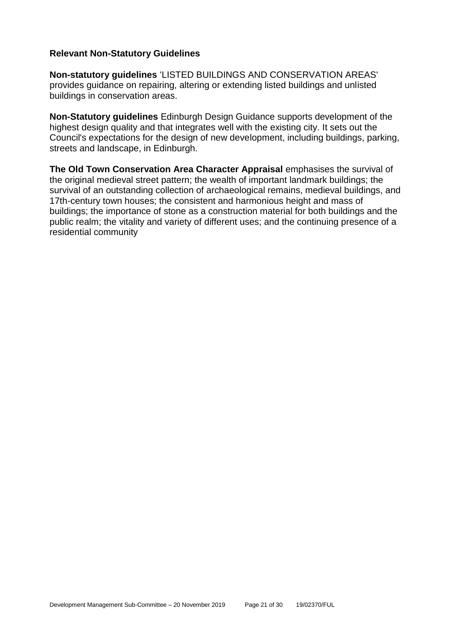# **Relevant Non-Statutory Guidelines**

**Non-statutory guidelines** 'LISTED BUILDINGS AND CONSERVATION AREAS' provides guidance on repairing, altering or extending listed buildings and unlisted buildings in conservation areas.

**Non-Statutory guidelines** Edinburgh Design Guidance supports development of the highest design quality and that integrates well with the existing city. It sets out the Council's expectations for the design of new development, including buildings, parking, streets and landscape, in Edinburgh.

**The Old Town Conservation Area Character Appraisal** emphasises the survival of the original medieval street pattern; the wealth of important landmark buildings; the survival of an outstanding collection of archaeological remains, medieval buildings, and 17th-century town houses; the consistent and harmonious height and mass of buildings; the importance of stone as a construction material for both buildings and the public realm; the vitality and variety of different uses; and the continuing presence of a residential community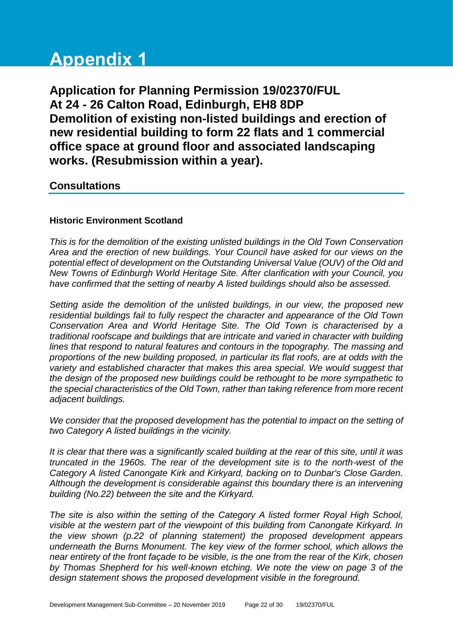# **Appendix 1**

**Application for Planning Permission 19/02370/FUL At 24 - 26 Calton Road, Edinburgh, EH8 8DP Demolition of existing non-listed buildings and erection of new residential building to form 22 flats and 1 commercial office space at ground floor and associated landscaping works. (Resubmission within a year).**

# **Consultations**

# **Historic Environment Scotland**

*This is for the demolition of the existing unlisted buildings in the Old Town Conservation Area and the erection of new buildings. Your Council have asked for our views on the potential effect of development on the Outstanding Universal Value (OUV) of the Old and New Towns of Edinburgh World Heritage Site. After clarification with your Council, you have confirmed that the setting of nearby A listed buildings should also be assessed.*

*Setting aside the demolition of the unlisted buildings, in our view, the proposed new residential buildings fail to fully respect the character and appearance of the Old Town Conservation Area and World Heritage Site. The Old Town is characterised by a traditional roofscape and buildings that are intricate and varied in character with building lines that respond to natural features and contours in the topography. The massing and proportions of the new building proposed, in particular its flat roofs, are at odds with the variety and established character that makes this area special. We would suggest that the design of the proposed new buildings could be rethought to be more sympathetic to the special characteristics of the Old Town, rather than taking reference from more recent adjacent buildings.*

*We consider that the proposed development has the potential to impact on the setting of two Category A listed buildings in the vicinity.*

*It is clear that there was a significantly scaled building at the rear of this site, until it was truncated in the 1960s. The rear of the development site is to the north-west of the Category A listed Canongate Kirk and Kirkyard, backing on to Dunbar's Close Garden. Although the development is considerable against this boundary there is an intervening building (No.22) between the site and the Kirkyard.*

*The site is also within the setting of the Category A listed former Royal High School, visible at the western part of the viewpoint of this building from Canongate Kirkyard. In the view shown (p.22 of planning statement) the proposed development appears underneath the Burns Monument. The key view of the former school, which allows the near entirety of the front façade to be visible, is the one from the rear of the Kirk, chosen by Thomas Shepherd for his well-known etching. We note the view on page 3 of the design statement shows the proposed development visible in the foreground.*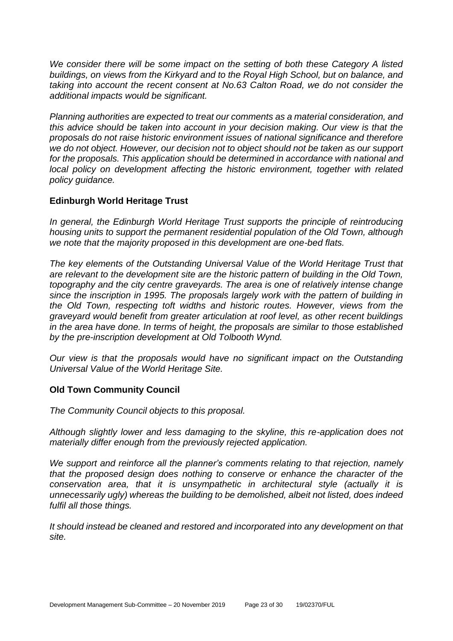We consider there will be some impact on the setting of both these Category A listed *buildings, on views from the Kirkyard and to the Royal High School, but on balance, and taking into account the recent consent at No.63 Calton Road, we do not consider the additional impacts would be significant.*

*Planning authorities are expected to treat our comments as a material consideration, and this advice should be taken into account in your decision making. Our view is that the proposals do not raise historic environment issues of national significance and therefore we do not object. However, our decision not to object should not be taken as our support for the proposals. This application should be determined in accordance with national and local policy on development affecting the historic environment, together with related policy guidance.*

# **Edinburgh World Heritage Trust**

*In general, the Edinburgh World Heritage Trust supports the principle of reintroducing housing units to support the permanent residential population of the Old Town, although we note that the majority proposed in this development are one-bed flats.*

*The key elements of the Outstanding Universal Value of the World Heritage Trust that are relevant to the development site are the historic pattern of building in the Old Town, topography and the city centre graveyards. The area is one of relatively intense change since the inscription in 1995. The proposals largely work with the pattern of building in the Old Town, respecting toft widths and historic routes. However, views from the graveyard would benefit from greater articulation at roof level, as other recent buildings in the area have done. In terms of height, the proposals are similar to those established by the pre-inscription development at Old Tolbooth Wynd.*

*Our view is that the proposals would have no significant impact on the Outstanding Universal Value of the World Heritage Site.*

# **Old Town Community Council**

*The Community Council objects to this proposal.*

*Although slightly lower and less damaging to the skyline, this re-application does not materially differ enough from the previously rejected application.*

*We support and reinforce all the planner's comments relating to that rejection, namely that the proposed design does nothing to conserve or enhance the character of the conservation area, that it is unsympathetic in architectural style (actually it is unnecessarily ugly) whereas the building to be demolished, albeit not listed, does indeed fulfil all those things.*

*It should instead be cleaned and restored and incorporated into any development on that site.*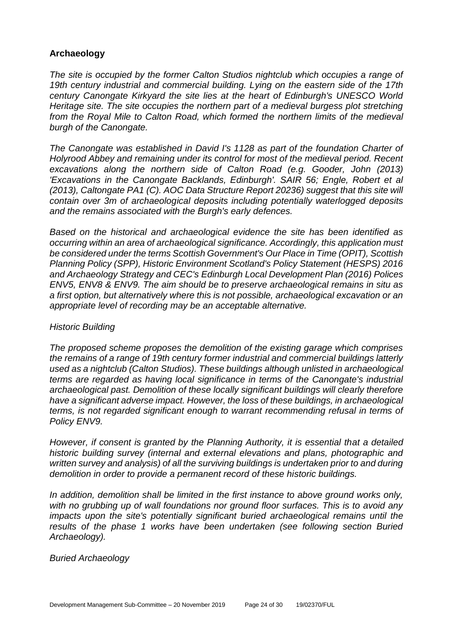# **Archaeology**

*The site is occupied by the former Calton Studios nightclub which occupies a range of 19th century industrial and commercial building. Lying on the eastern side of the 17th century Canongate Kirkyard the site lies at the heart of Edinburgh's UNESCO World Heritage site. The site occupies the northern part of a medieval burgess plot stretching from the Royal Mile to Calton Road, which formed the northern limits of the medieval burgh of the Canongate.* 

*The Canongate was established in David I's 1128 as part of the foundation Charter of Holyrood Abbey and remaining under its control for most of the medieval period. Recent excavations along the northern side of Calton Road (e.g. Gooder, John (2013) 'Excavations in the Canongate Backlands, Edinburgh'. SAIR 56; Engle, Robert et al (2013), Caltongate PA1 (C). AOC Data Structure Report 20236) suggest that this site will contain over 3m of archaeological deposits including potentially waterlogged deposits and the remains associated with the Burgh's early defences.*

*Based on the historical and archaeological evidence the site has been identified as occurring within an area of archaeological significance. Accordingly, this application must be considered under the terms Scottish Government's Our Place in Time (OPIT), Scottish Planning Policy (SPP), Historic Environment Scotland's Policy Statement (HESPS) 2016 and Archaeology Strategy and CEC's Edinburgh Local Development Plan (2016) Polices ENV5, ENV8 & ENV9. The aim should be to preserve archaeological remains in situ as a first option, but alternatively where this is not possible, archaeological excavation or an appropriate level of recording may be an acceptable alternative.*

# *Historic Building*

*The proposed scheme proposes the demolition of the existing garage which comprises the remains of a range of 19th century former industrial and commercial buildings latterly used as a nightclub (Calton Studios). These buildings although unlisted in archaeological terms are regarded as having local significance in terms of the Canongate's industrial archaeological past. Demolition of these locally significant buildings will clearly therefore have a significant adverse impact. However, the loss of these buildings, in archaeological terms, is not regarded significant enough to warrant recommending refusal in terms of Policy ENV9.* 

*However, if consent is granted by the Planning Authority, it is essential that a detailed historic building survey (internal and external elevations and plans, photographic and written survey and analysis) of all the surviving buildings is undertaken prior to and during demolition in order to provide a permanent record of these historic buildings.* 

In addition, demolition shall be limited in the first instance to above ground works only, *with no grubbing up of wall foundations nor ground floor surfaces. This is to avoid any impacts upon the site's potentially significant buried archaeological remains until the results of the phase 1 works have been undertaken (see following section Buried Archaeology).*

*Buried Archaeology*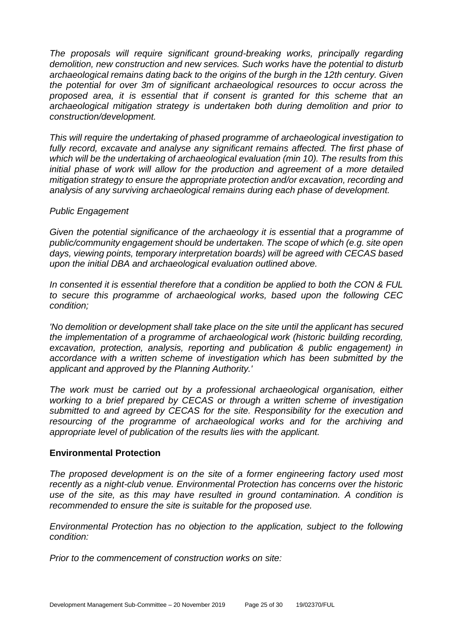*The proposals will require significant ground-breaking works, principally regarding demolition, new construction and new services. Such works have the potential to disturb archaeological remains dating back to the origins of the burgh in the 12th century. Given the potential for over 3m of significant archaeological resources to occur across the proposed area, it is essential that if consent is granted for this scheme that an archaeological mitigation strategy is undertaken both during demolition and prior to construction/development.* 

*This will require the undertaking of phased programme of archaeological investigation to fully record, excavate and analyse any significant remains affected. The first phase of which will be the undertaking of archaeological evaluation (min 10). The results from this initial phase of work will allow for the production and agreement of a more detailed mitigation strategy to ensure the appropriate protection and/or excavation, recording and analysis of any surviving archaeological remains during each phase of development.* 

#### *Public Engagement*

*Given the potential significance of the archaeology it is essential that a programme of public/community engagement should be undertaken. The scope of which (e.g. site open days, viewing points, temporary interpretation boards) will be agreed with CECAS based upon the initial DBA and archaeological evaluation outlined above.*

*In consented it is essential therefore that a condition be applied to both the CON & FUL to secure this programme of archaeological works, based upon the following CEC condition;*

*'No demolition or development shall take place on the site until the applicant has secured the implementation of a programme of archaeological work (historic building recording, excavation, protection, analysis, reporting and publication & public engagement) in accordance with a written scheme of investigation which has been submitted by the applicant and approved by the Planning Authority.'* 

*The work must be carried out by a professional archaeological organisation, either working to a brief prepared by CECAS or through a written scheme of investigation submitted to and agreed by CECAS for the site. Responsibility for the execution and resourcing of the programme of archaeological works and for the archiving and appropriate level of publication of the results lies with the applicant.*

# **Environmental Protection**

*The proposed development is on the site of a former engineering factory used most recently as a night-club venue. Environmental Protection has concerns over the historic use of the site, as this may have resulted in ground contamination. A condition is recommended to ensure the site is suitable for the proposed use.*

*Environmental Protection has no objection to the application, subject to the following condition:*

*Prior to the commencement of construction works on site:*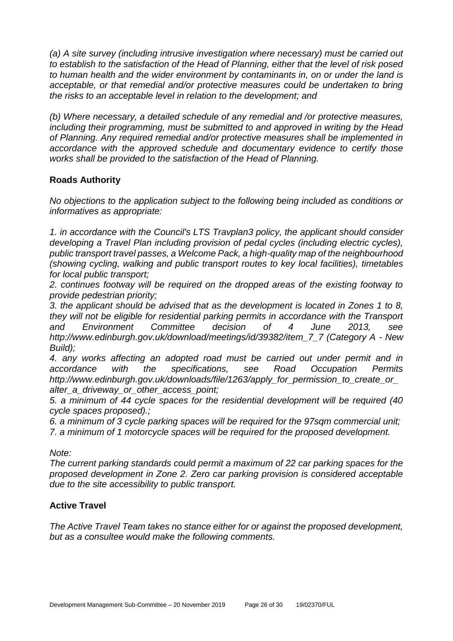*(a) A site survey (including intrusive investigation where necessary) must be carried out to establish to the satisfaction of the Head of Planning, either that the level of risk posed to human health and the wider environment by contaminants in, on or under the land is acceptable, or that remedial and/or protective measures could be undertaken to bring the risks to an acceptable level in relation to the development; and* 

*(b) Where necessary, a detailed schedule of any remedial and /or protective measures, including their programming, must be submitted to and approved in writing by the Head of Planning. Any required remedial and/or protective measures shall be implemented in accordance with the approved schedule and documentary evidence to certify those works shall be provided to the satisfaction of the Head of Planning.*

# **Roads Authority**

*No objections to the application subject to the following being included as conditions or informatives as appropriate:*

*1. in accordance with the Council's LTS Travplan3 policy, the applicant should consider developing a Travel Plan including provision of pedal cycles (including electric cycles), public transport travel passes, a Welcome Pack, a high-quality map of the neighbourhood (showing cycling, walking and public transport routes to key local facilities), timetables for local public transport;*

*2. continues footway will be required on the dropped areas of the existing footway to provide pedestrian priority;*

*3. the applicant should be advised that as the development is located in Zones 1 to 8, they will not be eligible for residential parking permits in accordance with the Transport and Environment Committee decision of 4 June 2013, see http://www.edinburgh.gov.uk/download/meetings/id/39382/item\_7\_7 (Category A - New Build);*

*4. any works affecting an adopted road must be carried out under permit and in accordance with the specifications, see Road Occupation Permits http://www.edinburgh.gov.uk/downloads/file/1263/apply\_for\_permission\_to\_create\_or\_ alter\_a\_driveway\_or\_other\_access\_point;*

*5. a minimum of 44 cycle spaces for the residential development will be required (40 cycle spaces proposed).;*

*6. a minimum of 3 cycle parking spaces will be required for the 97sqm commercial unit; 7. a minimum of 1 motorcycle spaces will be required for the proposed development.*

*Note:*

*The current parking standards could permit a maximum of 22 car parking spaces for the proposed development in Zone 2. Zero car parking provision is considered acceptable due to the site accessibility to public transport.*

# **Active Travel**

*The Active Travel Team takes no stance either for or against the proposed development, but as a consultee would make the following comments.*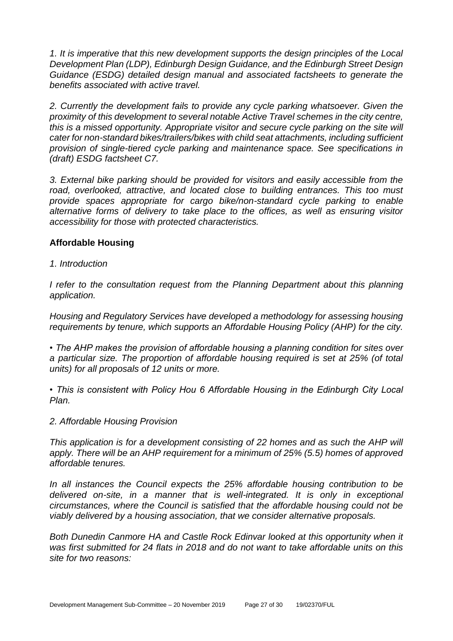*1. It is imperative that this new development supports the design principles of the Local Development Plan (LDP), Edinburgh Design Guidance, and the Edinburgh Street Design Guidance (ESDG) detailed design manual and associated factsheets to generate the benefits associated with active travel.* 

*2. Currently the development fails to provide any cycle parking whatsoever. Given the proximity of this development to several notable Active Travel schemes in the city centre, this is a missed opportunity. Appropriate visitor and secure cycle parking on the site will cater for non-standard bikes/trailers/bikes with child seat attachments, including sufficient provision of single-tiered cycle parking and maintenance space. See specifications in (draft) ESDG factsheet C7.* 

*3. External bike parking should be provided for visitors and easily accessible from the road, overlooked, attractive, and located close to building entrances. This too must provide spaces appropriate for cargo bike/non-standard cycle parking to enable alternative forms of delivery to take place to the offices, as well as ensuring visitor accessibility for those with protected characteristics.*

# **Affordable Housing**

*1. Introduction*

*I refer to the consultation request from the Planning Department about this planning application.*

*Housing and Regulatory Services have developed a methodology for assessing housing requirements by tenure, which supports an Affordable Housing Policy (AHP) for the city.*

*• The AHP makes the provision of affordable housing a planning condition for sites over a particular size. The proportion of affordable housing required is set at 25% (of total units) for all proposals of 12 units or more.* 

*• This is consistent with Policy Hou 6 Affordable Housing in the Edinburgh City Local Plan.* 

# *2. Affordable Housing Provision*

*This application is for a development consisting of 22 homes and as such the AHP will apply. There will be an AHP requirement for a minimum of 25% (5.5) homes of approved affordable tenures.* 

*In all instances the Council expects the 25% affordable housing contribution to be delivered on-site, in a manner that is well-integrated. It is only in exceptional circumstances, where the Council is satisfied that the affordable housing could not be viably delivered by a housing association, that we consider alternative proposals.* 

**Both Dunedin Canmore HA and Castle Rock Edinvar looked at this opportunity when it** *was first submitted for 24 flats in 2018 and do not want to take affordable units on this site for two reasons:*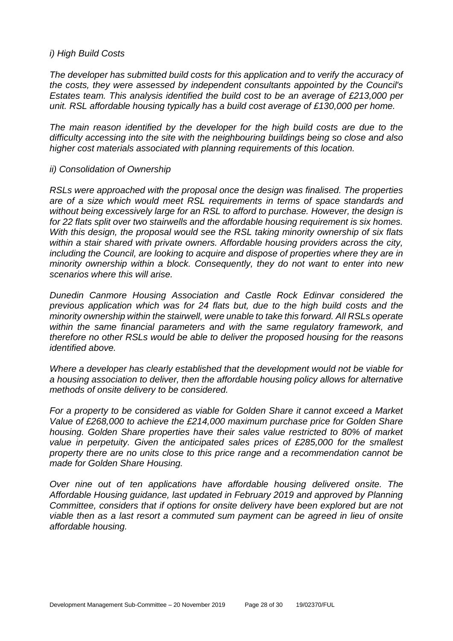#### *i) High Build Costs*

*The developer has submitted build costs for this application and to verify the accuracy of the costs, they were assessed by independent consultants appointed by the Council's Estates team. This analysis identified the build cost to be an average of £213,000 per unit. RSL affordable housing typically has a build cost average of £130,000 per home.* 

*The main reason identified by the developer for the high build costs are due to the difficulty accessing into the site with the neighbouring buildings being so close and also higher cost materials associated with planning requirements of this location.* 

#### *ii) Consolidation of Ownership*

*RSLs were approached with the proposal once the design was finalised. The properties are of a size which would meet RSL requirements in terms of space standards and without being excessively large for an RSL to afford to purchase. However, the design is for 22 flats split over two stairwells and the affordable housing requirement is six homes. With this design, the proposal would see the RSL taking minority ownership of six flats within a stair shared with private owners. Affordable housing providers across the city, including the Council, are looking to acquire and dispose of properties where they are in minority ownership within a block. Consequently, they do not want to enter into new scenarios where this will arise.* 

*Dunedin Canmore Housing Association and Castle Rock Edinvar considered the previous application which was for 24 flats but, due to the high build costs and the minority ownership within the stairwell, were unable to take this forward. All RSLs operate within the same financial parameters and with the same regulatory framework, and therefore no other RSLs would be able to deliver the proposed housing for the reasons identified above.* 

*Where a developer has clearly established that the development would not be viable for a housing association to deliver, then the affordable housing policy allows for alternative methods of onsite delivery to be considered.* 

*For a property to be considered as viable for Golden Share it cannot exceed a Market Value of £268,000 to achieve the £214,000 maximum purchase price for Golden Share housing. Golden Share properties have their sales value restricted to 80% of market value in perpetuity. Given the anticipated sales prices of £285,000 for the smallest property there are no units close to this price range and a recommendation cannot be made for Golden Share Housing.* 

*Over nine out of ten applications have affordable housing delivered onsite. The Affordable Housing guidance, last updated in February 2019 and approved by Planning Committee, considers that if options for onsite delivery have been explored but are not viable then as a last resort a commuted sum payment can be agreed in lieu of onsite affordable housing.*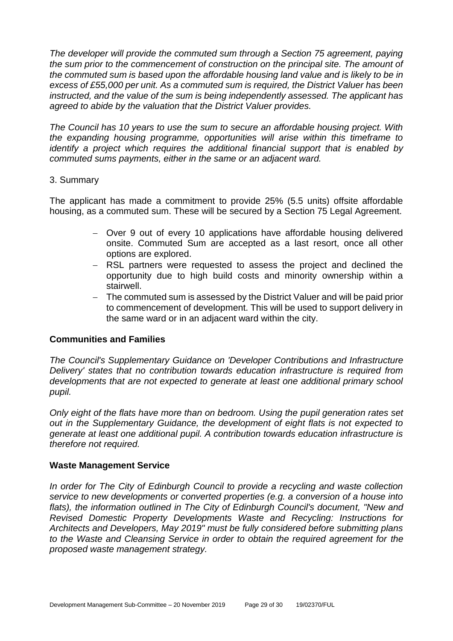*The developer will provide the commuted sum through a Section 75 agreement, paying the sum prior to the commencement of construction on the principal site. The amount of the commuted sum is based upon the affordable housing land value and is likely to be in excess of £55,000 per unit. As a commuted sum is required, the District Valuer has been instructed, and the value of the sum is being independently assessed. The applicant has agreed to abide by the valuation that the District Valuer provides.* 

*The Council has 10 years to use the sum to secure an affordable housing project. With the expanding housing programme, opportunities will arise within this timeframe to identify a project which requires the additional financial support that is enabled by commuted sums payments, either in the same or an adjacent ward.*

# 3. Summary

The applicant has made a commitment to provide 25% (5.5 units) offsite affordable housing, as a commuted sum. These will be secured by a Section 75 Legal Agreement.

- − Over 9 out of every 10 applications have affordable housing delivered onsite. Commuted Sum are accepted as a last resort, once all other options are explored.
- − RSL partners were requested to assess the project and declined the opportunity due to high build costs and minority ownership within a stairwell.
- − The commuted sum is assessed by the District Valuer and will be paid prior to commencement of development. This will be used to support delivery in the same ward or in an adjacent ward within the city.

# **Communities and Families**

*The Council's Supplementary Guidance on 'Developer Contributions and Infrastructure Delivery' states that no contribution towards education infrastructure is required from developments that are not expected to generate at least one additional primary school pupil.* 

*Only eight of the flats have more than on bedroom. Using the pupil generation rates set out in the Supplementary Guidance, the development of eight flats is not expected to generate at least one additional pupil. A contribution towards education infrastructure is therefore not required.*

# **Waste Management Service**

*In order for The City of Edinburgh Council to provide a recycling and waste collection service to new developments or converted properties (e.g. a conversion of a house into*  flats), the information outlined in The City of Edinburgh Council's document, "New and *Revised Domestic Property Developments Waste and Recycling: Instructions for Architects and Developers, May 2019" must be fully considered before submitting plans to the Waste and Cleansing Service in order to obtain the required agreement for the proposed waste management strategy.*